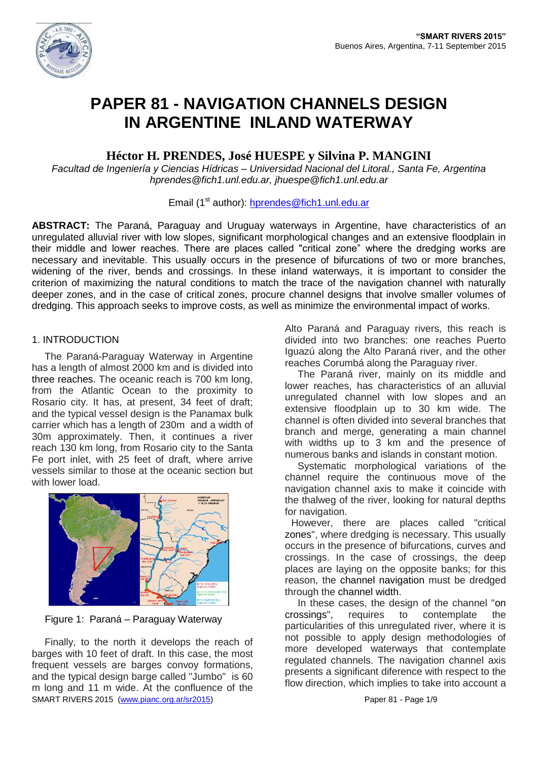

# **PAPER 81 - NAVIGATION CHANNELS DESIGN IN ARGENTINE INLAND WATERWAY**

## **Héctor H. PRENDES, José HUESPE y Silvina P. MANGINI**

*Facultad de Ingeniería y Ciencias Hídricas – Universidad Nacional del Litoral., Santa Fe, Argentina hprendes@fich1.unl.edu.ar, jhuespe@fich1.unl.edu.ar*

## Email (1<sup>st</sup> author): [hprendes@fich1.unl.edu.ar](mailto:hprendes@fich1.unl.edu.ar)

**ABSTRACT:** The Paraná, Paraguay and Uruguay waterways in Argentine, have characteristics of an unregulated alluvial river with low slopes, significant morphological changes and an extensive floodplain in their middle and lower reaches. There are places called "critical zone" where the dredging works are necessary and inevitable. This usually occurs in the presence of bifurcations of two or more branches, widening of the river, bends and crossings. In these inland waterways, it is important to consider the criterion of maximizing the natural conditions to match the trace of the navigation channel with naturally deeper zones, and in the case of critical zones, procure channel designs that involve smaller volumes of dredging. This approach seeks to improve costs, as well as minimize the environmental impact of works.

## 1. INTRODUCTION

The Paraná-Paraguay Waterway in Argentine has a length of almost 2000 km and is divided into three reaches. The oceanic reach is 700 km long, from the Atlantic Ocean to the proximity to Rosario city. It has, at present, 34 feet of draft; and the typical vessel design is the Panamax bulk carrier which has a length of 230m and a width of 30m approximately. Then, it continues a river reach 130 km long, from Rosario city to the Santa Fe port inlet, with 25 feet of draft, where arrive vessels similar to those at the oceanic section but with lower load.



Figure 1: Paraná – Paraguay Waterway

SMART RIVERS 2015 [\(www.pianc.org.ar/sr2015\)](http://www.pianc.org.ar/sr2015) Paper 81 - Page 1/9 Finally, to the north it develops the reach of barges with 10 feet of draft. In this case, the most frequent vessels are barges convoy formations, and the typical design barge called "Jumbo" is 60 m long and 11 m wide. At the confluence of the

Alto Paraná and Paraguay rivers, this reach is divided into two branches: one reaches Puerto Iguazú along the Alto Paraná river, and the other reaches Corumbá along the Paraguay river.

The Paraná river, mainly on its middle and lower reaches, has characteristics of an alluvial unregulated channel with low slopes and an extensive floodplain up to 30 km wide. The channel is often divided into several branches that branch and merge, generating a main channel with widths up to 3 km and the presence of numerous banks and islands in constant motion.

Systematic morphological variations of the channel require the continuous move of the navigation channel axis to make it coincide with the thalweg of the river, looking for natural depths for navigation.

However, there are places called "critical zones", where dredging is necessary. This usually occurs in the presence of bifurcations, curves and crossings. In the case of crossings, the deep places are laying on the opposite banks; for this reason, the channel navigation must be dredged through the channel width.

In these cases, the design of the channel "on crossings", requires to contemplate the particularities of this unregulated river, where it is not possible to apply design methodologies of more developed waterways that contemplate regulated channels. The navigation channel axis presents a significant diference with respect to the flow direction, which implies to take into account a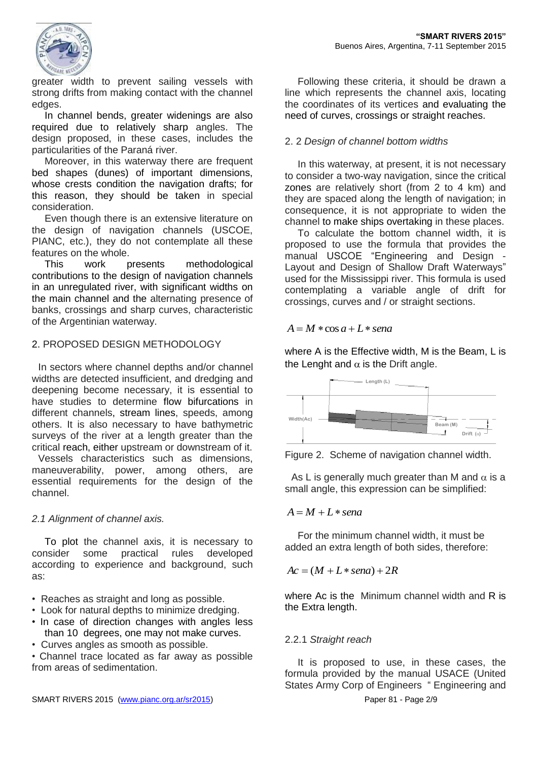

greater width to prevent sailing vessels with strong drifts from making contact with the channel edges.

In channel bends, greater widenings are also required due to relatively sharp angles. The design proposed, in these cases, includes the particularities of the Paraná river.

Moreover, in this waterway there are frequent bed shapes (dunes) of important dimensions, whose crests condition the navigation drafts; for this reason, they should be taken in special consideration.

Even though there is an extensive literature on the design of navigation channels (USCOE, PIANC, etc.), they do not contemplate all these features on the whole.

This work presents methodological contributions to the design of navigation channels in an unregulated river, with significant widths on the main channel and the alternating presence of banks, crossings and sharp curves, characteristic of the Argentinian waterway.

## 2. PROPOSED DESIGN METHODOLOGY

In sectors where channel depths and/or channel widths are detected insufficient, and dredging and deepening become necessary, it is essential to have studies to determine flow bifurcations in different channels, stream lines, speeds, among others. It is also necessary to have bathymetric surveys of the river at a length greater than the critical reach, either upstream or downstream of it.

Vessels characteristics such as dimensions, maneuverability, power, among others, are essential requirements for the design of the channel.

#### *2.1 Alignment of channel axis.*

To plot the channel axis, it is necessary to consider some practical rules developed according to experience and background, such as:

- Reaches as straight and long as possible.
- Look for natural depths to minimize dredging.
- In case of direction changes with angles less than 10 degrees, one may not make curves.
- Curves angles as smooth as possible.

• Channel trace located as far away as possible from areas of sedimentation.

Following these criteria, it should be drawn a line which represents the channel axis, locating the coordinates of its vertices and evaluating the need of curves, crossings or straight reaches.

## 2. 2 *Design of channel bottom widths*

In this waterway, at present, it is not necessary to consider a two-way navigation, since the critical zones are relatively short (from 2 to 4 km) and they are spaced along the length of navigation; in consequence, it is not appropriate to widen the channel to make ships overtaking in these places.

To calculate the bottom channel width, it is proposed to use the formula that provides the manual USCOE "Engineering and Design - Layout and Design of Shallow Draft Waterways" used for the Mississippi river. This formula is used contemplating a variable angle of drift for crossings, curves and / or straight sections.

#### $A = M \cdot \cos a + L \cdot \sin a$

where A is the Effective width, M is the Beam, L is the Lenght and  $\alpha$  is the Drift angle.



Figure 2. Scheme of navigation channel width.

As L is generally much greater than M and  $\alpha$  is a small angle, this expression can be simplified:

#### $A = M + L*$  *sena*

For the minimum channel width, it must be added an extra length of both sides, therefore:

 $Ac = (M + L * \text{sena}) + 2R$ 

where Ac is the Minimum channel width and R is the Extra length.

#### 2.2.1 *Straight reach*

It is proposed to use, in these cases, the formula provided by the manual USACE (United States Army Corp of Engineers " Engineering and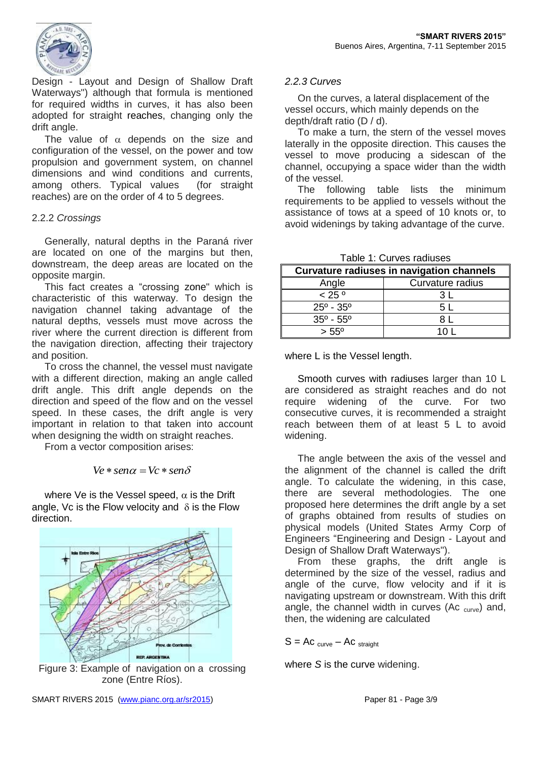

Design - Layout and Design of Shallow Draft Waterways") although that formula is mentioned for required widths in curves, it has also been adopted for straight reaches, changing only the drift angle.

The value of  $\alpha$  depends on the size and configuration of the vessel, on the power and tow propulsion and government system, on channel dimensions and wind conditions and currents, among others. Typical values (for straight reaches) are on the order of 4 to 5 degrees.

#### 2.2.2 *Crossings*

Generally, natural depths in the Paraná river are located on one of the margins but then, downstream, the deep areas are located on the opposite margin.

This fact creates a "crossing zone" which is characteristic of this waterway. To design the navigation channel taking advantage of the natural depths, vessels must move across the river where the current direction is different from the navigation direction, affecting their trajectory and position.

To cross the channel, the vessel must navigate with a different direction, making an angle called drift angle. This drift angle depends on the direction and speed of the flow and on the vessel speed. In these cases, the drift angle is very important in relation to that taken into account when designing the width on straight reaches.

From a vector composition arises:

$$
Ve * sen\alpha = Vc * sen\delta
$$

where Ve is the Vessel speed,  $\alpha$  is the Drift angle, Vc is the Flow velocity and  $\delta$  is the Flow direction.



Figure 3: Example of navigation on a crossing zone (Entre Ríos).

#### *2.2.3 Curves*

On the curves, a lateral displacement of the vessel occurs, which mainly depends on the depth/draft ratio (D / d).

To make a turn, the stern of the vessel moves laterally in the opposite direction. This causes the vessel to move producing a sidescan of the channel, occupying a space wider than the width of the vessel.

The following table lists the minimum requirements to be applied to vessels without the assistance of tows at a speed of 10 knots or, to avoid widenings by taking advantage of the curve.

| Tapic T. Odivos Tagiuscs                         |                  |
|--------------------------------------------------|------------------|
| <b>Curvature radiuses in navigation channels</b> |                  |
| Angle                                            | Curvature radius |
| < 25°                                            |                  |
| $25^{\circ}$ - 35 $^{\circ}$                     | 5 L              |
| $35^{\circ}$ - 55 $^{\circ}$                     |                  |
| $> 55^{\circ}$                                   |                  |

Table 1: Curves radiuses

where L is the Vessel length.

Smooth curves with radiuses larger than 10 L are considered as straight reaches and do not require widening of the curve. For two consecutive curves, it is recommended a straight reach between them of at least 5 L to avoid widening.

The angle between the axis of the vessel and the alignment of the channel is called the drift angle. To calculate the widening, in this case, there are several methodologies. The one proposed here determines the drift angle by a set of graphs obtained from results of studies on physical models (United States Army Corp of Engineers "Engineering and Design - Layout and Design of Shallow Draft Waterways").

From these graphs, the drift angle is determined by the size of the vessel, radius and angle of the curve, flow velocity and if it is navigating upstream or downstream. With this drift angle, the channel width in curves (Ac  $_{\text{curve}}$ ) and, then, the widening are calculated

 $S = AC$  curve – AC straight

where *S* is the curve widening.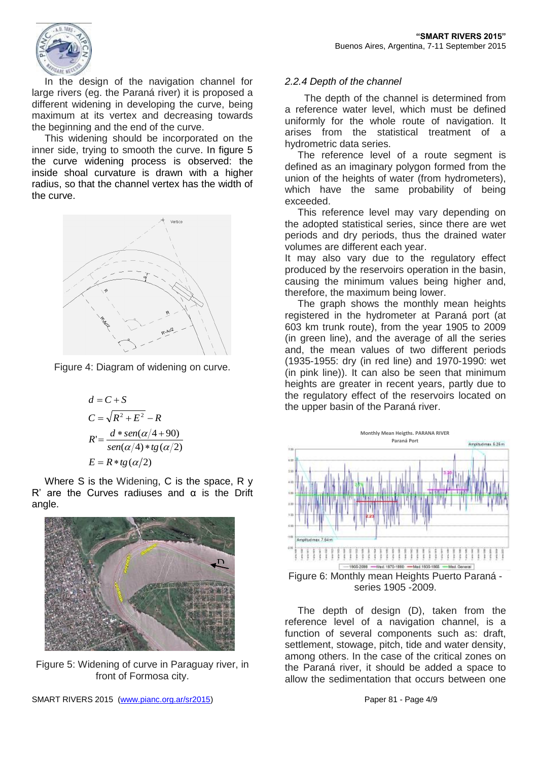

In the design of the navigation channel for large rivers (eg. the Paraná river) it is proposed a different widening in developing the curve, being maximum at its vertex and decreasing towards the beginning and the end of the curve.

This widening should be incorporated on the inner side, trying to smooth the curve. In figure 5 the curve widening process is observed: the inside shoal curvature is drawn with a higher radius, so that the channel vertex has the width of the curve.



Figure 4: Diagram of widening on curve.

$$
d = C + S
$$
  
\n
$$
C = \sqrt{R^2 + E^2} - R
$$
  
\n
$$
R' = \frac{d * sen(\alpha/4 + 90)}{sen(\alpha/4) * tg(\alpha/2)}
$$
  
\n
$$
E = R * tg(\alpha/2)
$$

Where S is the Widening, C is the space, R y R' are the Curves radiuses and  $α$  is the Drift angle.



Figure 5: Widening of curve in Paraguay river, in front of Formosa city.

## *2.2.4 Depth of the channel*

The depth of the channel is determined from a reference water level, which must be defined uniformly for the whole route of navigation. It arises from the statistical treatment of a hydrometric data series.

The reference level of a route segment is defined as an imaginary polygon formed from the union of the heights of water (from hydrometers), which have the same probability of being exceeded.

This reference level may vary depending on the adopted statistical series, since there are wet periods and dry periods, thus the drained water volumes are different each year.

It may also vary due to the regulatory effect produced by the reservoirs operation in the basin, causing the minimum values being higher and, therefore, the maximum being lower.

The graph shows the monthly mean heights registered in the hydrometer at Paraná port (at 603 km trunk route), from the year 1905 to 2009 (in green line), and the average of all the series and, the mean values of two different periods (1935-1955: dry (in red line) and 1970-1990: wet (in pink line)). It can also be seen that minimum heights are greater in recent years, partly due to the regulatory effect of the reservoirs located on the upper basin of the Paraná river.



Figure 6: Monthly mean Heights Puerto Paraná series 1905 -2009.

The depth of design (D), taken from the reference level of a navigation channel, is a function of several components such as: draft, settlement, stowage, pitch, tide and water density, among others. In the case of the critical zones on the Paraná river, it should be added a space to allow the sedimentation that occurs between one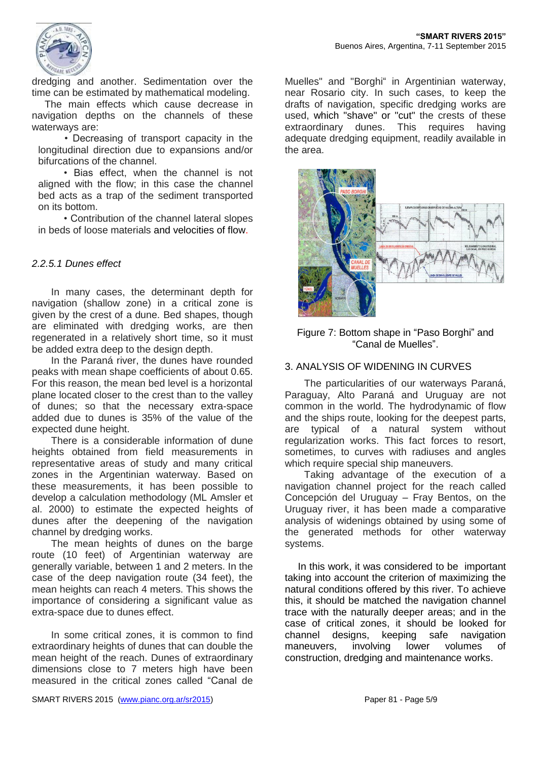

dredging and another. Sedimentation over the time can be estimated by mathematical modeling.

The main effects which cause decrease in navigation depths on the channels of these waterways are:

• Decreasing of transport capacity in the longitudinal direction due to expansions and/or bifurcations of the channel.

• Bias effect, when the channel is not aligned with the flow; in this case the channel bed acts as a trap of the sediment transported on its bottom.

• Contribution of the channel lateral slopes in beds of loose materials and velocities of flow.

## *2.2.5.1 Dunes effect*

In many cases, the determinant depth for navigation (shallow zone) in a critical zone is given by the crest of a dune. Bed shapes, though are eliminated with dredging works, are then regenerated in a relatively short time, so it must be added extra deep to the design depth.

In the Paraná river, the dunes have rounded peaks with mean shape coefficients of about 0.65. For this reason, the mean bed level is a horizontal plane located closer to the crest than to the valley of dunes; so that the necessary extra-space added due to dunes is 35% of the value of the expected dune height.

There is a considerable information of dune heights obtained from field measurements in representative areas of study and many critical zones in the Argentinian waterway. Based on these measurements, it has been possible to develop a calculation methodology (ML Amsler et al. 2000) to estimate the expected heights of dunes after the deepening of the navigation channel by dredging works.

The mean heights of dunes on the barge route (10 feet) of Argentinian waterway are generally variable, between 1 and 2 meters. In the case of the deep navigation route (34 feet), the mean heights can reach 4 meters. This shows the importance of considering a significant value as extra-space due to dunes effect.

In some critical zones, it is common to find extraordinary heights of dunes that can double the mean height of the reach. Dunes of extraordinary dimensions close to 7 meters high have been measured in the critical zones called "Canal de

Muelles" and "Borghi" in Argentinian waterway, near Rosario city. In such cases, to keep the drafts of navigation, specific dredging works are used, which "shave" or "cut" the crests of these extraordinary dunes. This requires having adequate dredging equipment, readily available in the area.



Figure 7: Bottom shape in "Paso Borghi" and "Canal de Muelles".

#### 3. ANALYSIS OF WIDENING IN CURVES

The particularities of our waterways Paraná, Paraguay, Alto Paraná and Uruguay are not common in the world. The hydrodynamic of flow and the ships route, looking for the deepest parts, are typical of a natural system without regularization works. This fact forces to resort, sometimes, to curves with radiuses and angles which require special ship maneuvers.

Taking advantage of the execution of a navigation channel project for the reach called Concepción del Uruguay – Fray Bentos, on the Uruguay river, it has been made a comparative analysis of widenings obtained by using some of the generated methods for other waterway systems.

In this work, it was considered to be important taking into account the criterion of maximizing the natural conditions offered by this river. To achieve this, it should be matched the navigation channel trace with the naturally deeper areas; and in the case of critical zones, it should be looked for channel designs, keeping safe navigation maneuvers, involving lower volumes of construction, dredging and maintenance works.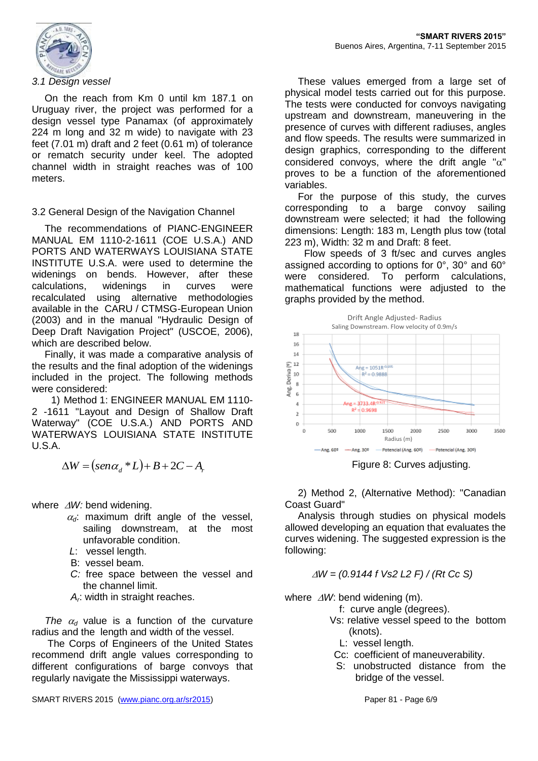

#### *3.1 Design vessel*

On the reach from Km 0 until km 187.1 on Uruguay river, the project was performed for a design vessel type Panamax (of approximately 224 m long and 32 m wide) to navigate with 23 feet (7.01 m) draft and 2 feet (0.61 m) of tolerance or rematch security under keel. The adopted channel width in straight reaches was of 100 meters.

#### 3.2 General Design of the Navigation Channel

The recommendations of PIANC-ENGINEER MANUAL EM 1110-2-1611 (COE U.S.A.) AND PORTS AND WATERWAYS LOUISIANA STATE INSTITUTE U.S.A. were used to determine the widenings on bends. However, after these calculations, widenings in curves were recalculated using alternative methodologies available in the CARU / CTMSG-European Union (2003) and in the manual "Hydraulic Design of Deep Draft Navigation Project" (USCOE, 2006), which are described below.

Finally, it was made a comparative analysis of the results and the final adoption of the widenings included in the project. The following methods were considered:

1) Method 1: ENGINEER MANUAL EM 1110- 2 -1611 "Layout and Design of Shallow Draft Waterway" (COE U.S.A.) AND PORTS AND WATERWAYS LOUISIANA STATE INSTITUTE U.S.A.

 $\Delta W = (sen\alpha_{A} * L) + B + 2C - A_{A}$ 

where  $\Delta W$ : bend widening.

- $\alpha_d$ : maximum drift angle of the vessel, sailing downstream, at the most unfavorable condition.
- *L*: vessel length.
- B: vessel beam.
- *C:* free space between the vessel and the channel limit.
- *A<sup>r</sup>* : width in straight reaches.

*The*  $\alpha_d$  value is a function of the curvature radius and the length and width of the vessel.

The Corps of Engineers of the United States recommend drift angle values corresponding to different configurations of barge convoys that regularly navigate the Mississippi waterways.

These values emerged from a large set of physical model tests carried out for this purpose. The tests were conducted for convoys navigating upstream and downstream, maneuvering in the presence of curves with different radiuses, angles and flow speeds. The results were summarized in design graphics, corresponding to the different considered convoys, where the drift angle " $\alpha$ " proves to be a function of the aforementioned variables.

For the purpose of this study, the curves corresponding to a barge convoy sailing downstream were selected; it had the following dimensions: Length: 183 m, Length plus tow (total 223 m), Width: 32 m and Draft: 8 feet.

Flow speeds of 3 ft/sec and curves angles assigned according to options for 0°, 30° and 60° were considered. To perform calculations, mathematical functions were adjusted to the graphs provided by the method.



Figure 8: Curves adjusting.

2) Method 2, (Alternative Method): "Canadian Coast Guard"

Analysis through studies on physical models allowed developing an equation that evaluates the curves widening. The suggested expression is the following:

$$
\Delta W = (0.9144 \text{ f Vs2 L2 F}) / (Rt \text{ Cc S})
$$

where  $\Delta W$ : bend widening (m).

- f: curve angle (degrees).
- Vs: relative vessel speed to the bottom (knots).
	- L: vessel length.
- Cc: coefficient of maneuverability.
- S: unobstructed distance from the bridge of the vessel.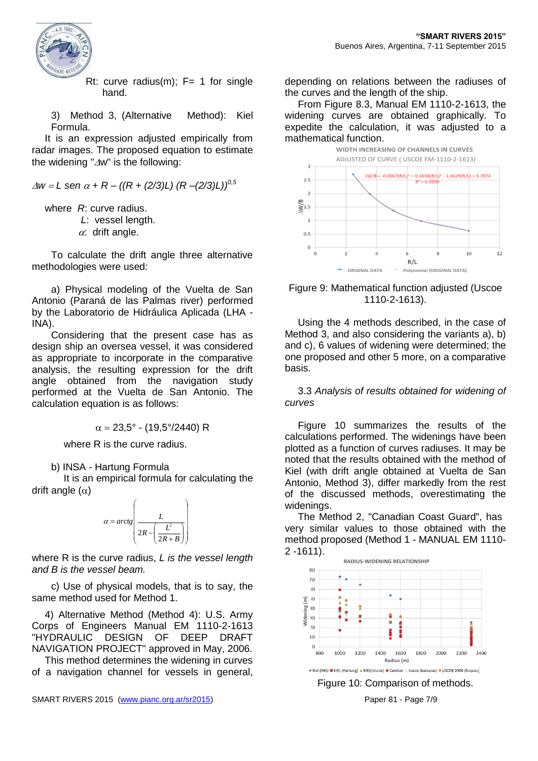

Rt: curve radius(m);  $F= 1$  for single hand.

3) Method 3, (Alternative Method): Kiel Formula.

It is an expression adjusted empirically from radar images. The proposed equation to estimate the widening " $\Delta w$ " is the following:

 $\Delta w = L$  sen  $\alpha + R - ((R + (2/3)L) (R - (2/3)L))^{0.5}$ 

where *R*: curve radius. *L*: vessel length.

 $\alpha$ : drift angle.

To calculate the drift angle three alternative methodologies were used:

a) Physical modeling of the Vuelta de San Antonio (Paraná de las Palmas river) performed by the Laboratorio de Hidráulica Aplicada (LHA - INA).

Considering that the present case has as design ship an oversea vessel, it was considered as appropriate to incorporate in the comparative analysis, the resulting expression for the drift angle obtained from the navigation study performed at the Vuelta de San Antonio. The calculation equation is as follows:

$$
\alpha = 23.5^{\circ} - (19.5^{\circ}/2440) \text{ R}
$$

where R is the curve radius.

b) INSA - Hartung Formula

It is an empirical formula for calculating the drift angle  $(\alpha)$ 



where R is the curve radius, *L is the vessel length and B is the vessel beam.*

c) Use of physical models, that is to say, the same method used for Method 1.

4) Alternative Method (Method 4): U.S. Army Corps of Engineers Manual EM 1110-2-1613 "HYDRAULIC DESIGN OF DEEP DRAFT NAVIGATION PROJECT" approved in May, 2006.

This method determines the widening in curves of a navigation channel for vessels in general, depending on relations between the radiuses of the curves and the length of the ship.

From Figure 8.3, Manual EM 1110-2-1613, the widening curves are obtained graphically. To expedite the calculation, it was adjusted to a mathematical function.



Figure 9: Mathematical function adjusted (Uscoe 1110-2-1613).

Using the 4 methods described, in the case of Method 3, and also considering the variants a), b) and c), 6 values of widening were determined; the one proposed and other 5 more, on a comparative basis.

3.3 *Analysis of results obtained for widening of curves*

Figure 10 summarizes the results of the calculations performed. The widenings have been plotted as a function of curves radiuses. It may be noted that the results obtained with the method of Kiel (with drift angle obtained at Vuelta de San Antonio, Method 3), differ markedly from the rest of the discussed methods, overestimating the widenings.

The Method 2, "Canadian Coast Guard", has very similar values to those obtained with the method proposed (Method 1 - MANUAL EM 1110- 2 -1611).

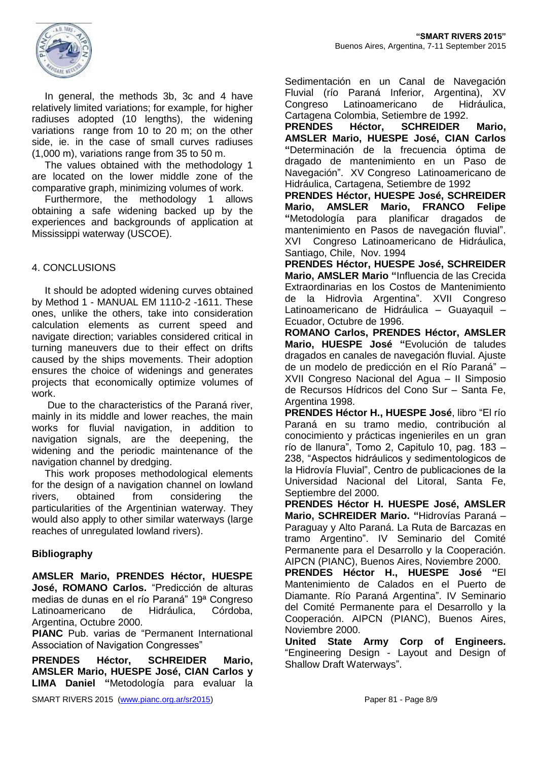

In general, the methods 3b, 3c and 4 have relatively limited variations; for example, for higher radiuses adopted (10 lengths), the widening variations range from 10 to 20 m; on the other side, ie. in the case of small curves radiuses (1,000 m), variations range from 35 to 50 m.

The values obtained with the methodology 1 are located on the lower middle zone of the comparative graph, minimizing volumes of work.

Furthermore, the methodology 1 allows obtaining a safe widening backed up by the experiences and backgrounds of application at Mississippi waterway (USCOE).

## 4. CONCLUSIONS

It should be adopted widening curves obtained by Method 1 - MANUAL EM 1110-2 -1611. These ones, unlike the others, take into consideration calculation elements as current speed and navigate direction; variables considered critical in turning maneuvers due to their effect on drifts caused by the ships movements. Their adoption ensures the choice of widenings and generates projects that economically optimize volumes of work.

Due to the characteristics of the Paraná river, mainly in its middle and lower reaches, the main works for fluvial navigation, in addition to navigation signals, are the deepening, the widening and the periodic maintenance of the navigation channel by dredging.

This work proposes methodological elements for the design of a navigation channel on lowland rivers, obtained from considering the particularities of the Argentinian waterway. They would also apply to other similar waterways (large reaches of unregulated lowland rivers).

#### **Bibliography**

**AMSLER Mario, PRENDES Héctor, HUESPE José, ROMANO Carlos.** "Predicción de alturas medias de dunas en el río Paraná" 19ª Congreso Latinoamericano de Hidráulica, Córdoba, Argentina, Octubre 2000.

**PIANC** Pub. varias de "Permanent International Association of Navigation Congresses"

**PRENDES Héctor, SCHREIDER Mario, AMSLER Mario, HUESPE José, CIAN Carlos y LIMA Daniel "**Metodología para evaluar la Sedimentación en un Canal de Navegación Fluvial (río Paraná Inferior, Argentina), XV Congreso Latinoamericano de Hidráulica, Cartagena Colombia, Setiembre de 1992.

**PRENDES Héctor, SCHREIDER Mario, AMSLER Mario, HUESPE José, CIAN Carlos "**Determinación de la frecuencia óptima de dragado de mantenimiento en un Paso de Navegación". XV Congreso Latinoamericano de Hidráulica, Cartagena, Setiembre de 1992

**PRENDES Héctor, HUESPE José, SCHREIDER Mario, AMSLER Mario, FRANCO Felipe "**Metodología para planificar dragados de mantenimiento en Pasos de navegación fluvial". XVI Congreso Latinoamericano de Hidráulica, Santiago, Chile, Nov. 1994

**PRENDES Héctor, HUESPE José, SCHREIDER Mario, AMSLER Mario "**Influencia de las Crecida Extraordinarias en los Costos de Mantenimiento de la Hidrovìa Argentina". XVII Congreso Latinoamericano de Hidráulica - Guayaquil -Ecuador, Octubre de 1996.

**ROMANO Carlos, PRENDES Héctor, AMSLER Mario, HUESPE José "**Evolución de taludes dragados en canales de navegación fluvial. Ajuste de un modelo de predicción en el Río Paraná" – XVII Congreso Nacional del Agua – II Simposio de Recursos Hídricos del Cono Sur – Santa Fe, Argentina 1998.

**PRENDES Héctor H., HUESPE José**, libro "El río Paraná en su tramo medio, contribución al conocimiento y prácticas ingenieriles en un gran río de llanura", Tomo 2, Capitulo 10, pag. 183 – 238, "Aspectos hidráulicos y sedimentologicos de la Hidrovía Fluvial", Centro de publicaciones de la Universidad Nacional del Litoral, Santa Fe, Septiembre del 2000.

**PRENDES Héctor H. HUESPE José, AMSLER Mario, SCHREIDER Mario. "**Hidrovías Paraná – Paraguay y Alto Paraná. La Ruta de Barcazas en tramo Argentino". IV Seminario del Comité Permanente para el Desarrollo y la Cooperación. AIPCN (PIANC), Buenos Aires, Noviembre 2000.

**PRENDES Héctor H., HUESPE José "**El Mantenimiento de Calados en el Puerto de Diamante. Río Paraná Argentina". IV Seminario del Comité Permanente para el Desarrollo y la Cooperación. AIPCN (PIANC), Buenos Aires, Noviembre 2000.

**United State Army Corp of Engineers.** "Engineering Design - Layout and Design of Shallow Draft Waterways".